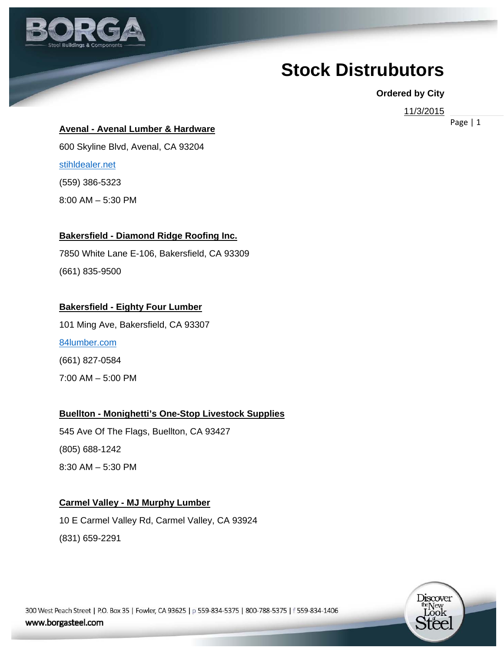

# **Stock Distrubutors**

#### **Ordered by City**

11/3/2015

Page | 1

**Avenal - Avenal Lumber & Hardware** 

600 Skyline Blvd, Avenal, CA 93204 stihldealer.net (559) 386-5323 8:00 AM – 5:30 PM

#### **Bakersfield - Diamond Ridge Roofing Inc.**

7850 White Lane E-106, Bakersfield, CA 93309 (661) 835-9500

#### **Bakersfield - Eighty Four Lumber**

101 Ming Ave, Bakersfield, CA 93307 84lumber.com (661) 827-0584 7:00 AM – 5:00 PM

**Buellton - Monighetti's One-Stop Livestock Supplies** 

545 Ave Of The Flags, Buellton, CA 93427 (805) 688-1242 8:30 AM – 5:30 PM

#### **Carmel Valley - MJ Murphy Lumber**

10 E Carmel Valley Rd, Carmel Valley, CA 93924 (831) 659-2291

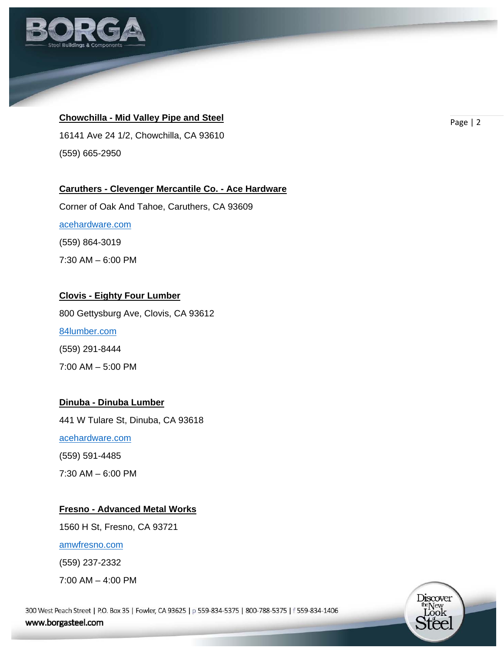

# **Chowchilla - Mid Valley Pipe and Steel Example 2 Page 2 Page 2 Page 12**

16141 Ave 24 1/2, Chowchilla, CA 93610 (559) 665-2950

#### **Caruthers - Clevenger Mercantile Co. - Ace Hardware**

Corner of Oak And Tahoe, Caruthers, CA 93609 acehardware.com (559) 864-3019 7:30 AM – 6:00 PM

#### **Clovis - Eighty Four Lumber**

800 Gettysburg Ave, Clovis, CA 93612 84lumber.com (559) 291-8444 7:00 AM – 5:00 PM

# **Dinuba - Dinuba Lumber**

441 W Tulare St, Dinuba, CA 93618

acehardware.com

(559) 591-4485

7:30 AM – 6:00 PM

#### **Fresno - Advanced Metal Works**

1560 H St, Fresno, CA 93721

amwfresno.com

(559) 237-2332

7:00 AM – 4:00 PM

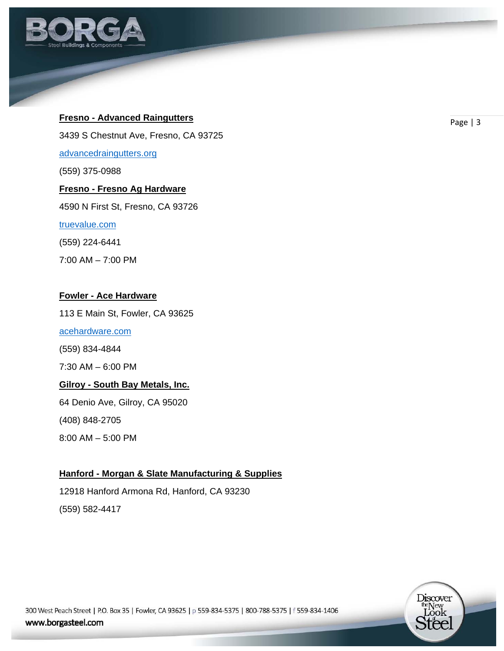

# **Fresno - Advanced Raingutters Fresno - Advanced Raingutters**

3439 S Chestnut Ave, Fresno, CA 93725

advancedraingutters.org

(559) 375-0988

# **Fresno - Fresno Ag Hardware**

4590 N First St, Fresno, CA 93726

#### truevalue.com

(559) 224-6441

7:00 AM – 7:00 PM

#### **Fowler - Ace Hardware**

113 E Main St, Fowler, CA 93625

acehardware.com

(559) 834-4844

7:30 AM – 6:00 PM

#### **Gilroy - South Bay Metals, Inc.**

64 Denio Ave, Gilroy, CA 95020

(408) 848-2705

8:00 AM – 5:00 PM

# **Hanford - Morgan & Slate Manufacturing & Supplies**

12918 Hanford Armona Rd, Hanford, CA 93230 (559) 582-4417

> Discover the New<br>Look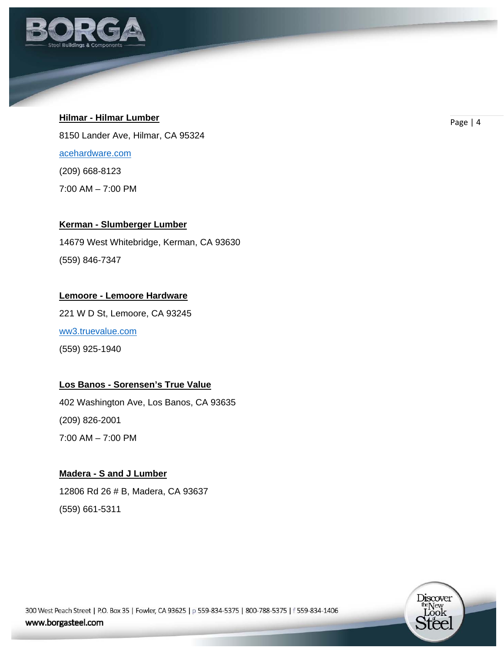

# **Hilmar - Hilmar Lumber Contract Contract Contract Contract Contract Contract Contract Contract Contract Contract Contract Contract Contract Contract Contract Contract Contract Contract Contract Contract Contract Contrac**

8150 Lander Ave, Hilmar, CA 95324 acehardware.com (209) 668-8123 7:00 AM – 7:00 PM

#### **Kerman - Slumberger Lumber**

14679 West Whitebridge, Kerman, CA 93630 (559) 846-7347

#### **Lemoore - Lemoore Hardware**

221 W D St, Lemoore, CA 93245 ww3.truevalue.com (559) 925-1940

# **Los Banos - Sorensen's True Value**

402 Washington Ave, Los Banos, CA 93635 (209) 826-2001 7:00 AM – 7:00 PM

# **Madera - S and J Lumber**

12806 Rd 26 # B, Madera, CA 93637 (559) 661-5311

> Discover the New<br>Look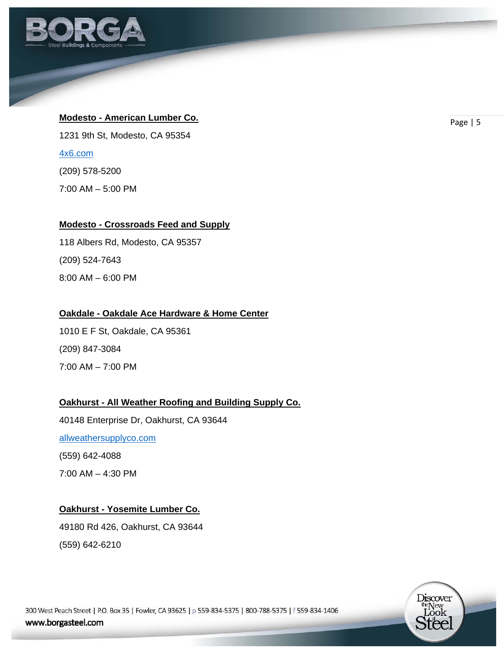

# **Modesto - American Lumber Co. Co. Page 15 Page 15**

1231 9th St, Modesto, CA 95354

4x6.com

(209) 578-5200

7:00 AM – 5:00 PM

# **Modesto - Crossroads Feed and Supply**

118 Albers Rd, Modesto, CA 95357 (209) 524-7643 8:00 AM – 6:00 PM

# **Oakdale - Oakdale Ace Hardware & Home Center**

1010 E F St, Oakdale, CA 95361 (209) 847-3084 7:00 AM – 7:00 PM

# **Oakhurst - All Weather Roofing and Building Supply Co.**

40148 Enterprise Dr, Oakhurst, CA 93644 allweathersupplyco.com (559) 642-4088 7:00 AM – 4:30 PM

# **Oakhurst - Yosemite Lumber Co.**

49180 Rd 426, Oakhurst, CA 93644 (559) 642-6210

> Discover the New<br>Look